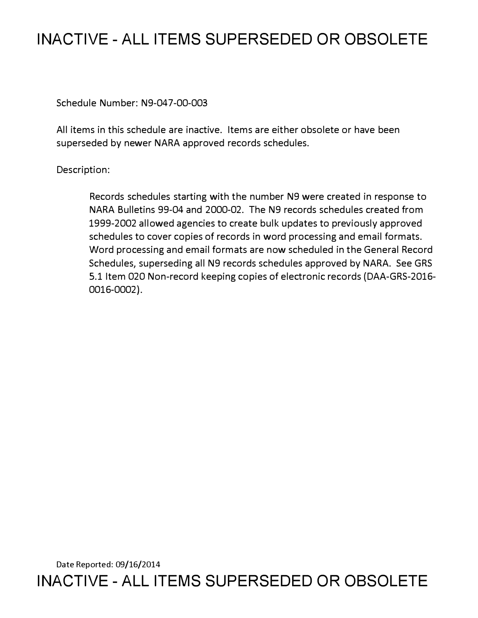## **INACTIVE - ALL ITEMS SUPERSEDED OR OBSOLETE**

Schedule Number: N9-047-00-003

All items in this schedule are inactive. Items are either obsolete or have been superseded by newer NARA approved records schedules.

## Description:

Records schedules starting with the number N9 were created in response to NARA Bulletins 99-04 and 2000-02. The N9 records schedules created from 1999-2002 allowed agencies to create bulk updates to previously approved schedules to cover copies of records in word processing and email formats. Word processing and email formats are now scheduled in the General Record Schedules, superseding all N9 records schedules approved by NARA. See GRS 5.1 Item 020 Non-record keeping copies of electronic records (DAA-GRS-2016- 0016-0002).

Date Reported: 09/16/2014 **INACTIVE - ALL ITEMS SUPERSEDED OR OBSOLETE**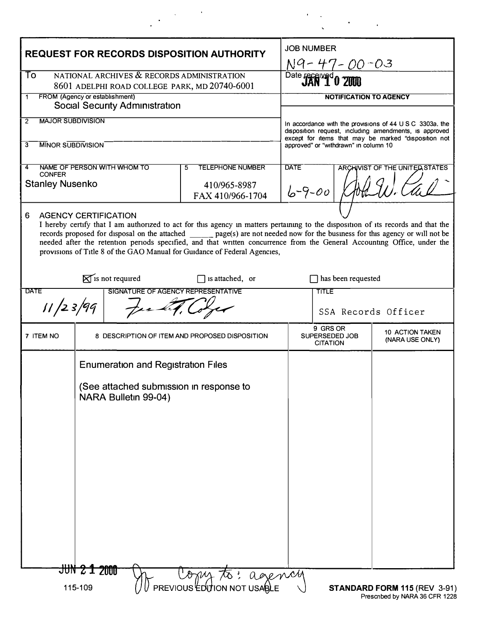| <b>REQUEST FOR RECORDS DISPOSITION AUTHORITY</b>                                                                                                                                                                                                                                                                                                                                                                                                                                                                   |                                                |                                                                                                              |                                  |                                               | <b>JOB NUMBER</b><br>N9-47-00-03                                                                                                                                                                                    |                                    |  |
|--------------------------------------------------------------------------------------------------------------------------------------------------------------------------------------------------------------------------------------------------------------------------------------------------------------------------------------------------------------------------------------------------------------------------------------------------------------------------------------------------------------------|------------------------------------------------|--------------------------------------------------------------------------------------------------------------|----------------------------------|-----------------------------------------------|---------------------------------------------------------------------------------------------------------------------------------------------------------------------------------------------------------------------|------------------------------------|--|
| NATIONAL ARCHIVES & RECORDS ADMINISTRATION<br>To.<br>8601 ADELPHI ROAD COLLEGE PARK, MD 20740-6001                                                                                                                                                                                                                                                                                                                                                                                                                 |                                                |                                                                                                              |                                  |                                               | Date received 0 200                                                                                                                                                                                                 |                                    |  |
| FROM (Agency or establishment)<br>$\mathbf{1}$<br><b>Social Security Administration</b>                                                                                                                                                                                                                                                                                                                                                                                                                            |                                                |                                                                                                              |                                  |                                               | <b>NOTIFICATION TO AGENCY</b>                                                                                                                                                                                       |                                    |  |
| <b>MAJOR SUBDIVISION</b><br>$\overline{2}$                                                                                                                                                                                                                                                                                                                                                                                                                                                                         |                                                |                                                                                                              |                                  |                                               | In accordance with the provisions of 44 U S C 3303a, the<br>disposition request, including amendments, is approved<br>except for items that may be marked "disposition not<br>approved" or "withdrawn" in column 10 |                                    |  |
| <b>MINOR SUBDIVISION</b><br>3                                                                                                                                                                                                                                                                                                                                                                                                                                                                                      |                                                |                                                                                                              |                                  |                                               |                                                                                                                                                                                                                     |                                    |  |
| 4<br><b>CONFER</b>                                                                                                                                                                                                                                                                                                                                                                                                                                                                                                 |                                                | NAME OF PERSON WITH WHOM TO                                                                                  | <b>TELEPHONE NUMBER</b><br>5     | <b>DATE</b><br>ARCHIVIST OF THE UNITED STATES |                                                                                                                                                                                                                     |                                    |  |
| <b>Stanley Nusenko</b>                                                                                                                                                                                                                                                                                                                                                                                                                                                                                             |                                                |                                                                                                              | 410/965-8987<br>FAX 410/966-1704 | $6 - 9 - 00$                                  |                                                                                                                                                                                                                     |                                    |  |
| 6<br><b>AGENCY CERTIFICATION</b><br>I hereby certify that I am authorized to act for this agency in matters pertaining to the disposition of its records and that the<br>records proposed for disposal on the attached _______ page(s) are not needed now for the business for this agency or will not be<br>needed after the retention periods specified, and that written concurrence from the General Accounting Office, under the<br>provisions of Title 8 of the GAO Manual for Guidance of Federal Agencies, |                                                |                                                                                                              |                                  |                                               |                                                                                                                                                                                                                     |                                    |  |
| $\mathbb{R}$ is not required<br>$\Box$ is attached, or                                                                                                                                                                                                                                                                                                                                                                                                                                                             |                                                |                                                                                                              |                                  |                                               | has been requested                                                                                                                                                                                                  |                                    |  |
| <b>DATE</b><br>SIGNATURE OF AGENCY REPRESENTATIVE                                                                                                                                                                                                                                                                                                                                                                                                                                                                  |                                                |                                                                                                              |                                  |                                               | <b>TITLE</b>                                                                                                                                                                                                        |                                    |  |
| 11/23/99                                                                                                                                                                                                                                                                                                                                                                                                                                                                                                           |                                                |                                                                                                              |                                  | SSA Records Officer                           |                                                                                                                                                                                                                     |                                    |  |
| 7 ITEM NO                                                                                                                                                                                                                                                                                                                                                                                                                                                                                                          | 8 DESCRIPTION OF ITEM AND PROPOSED DISPOSITION |                                                                                                              |                                  |                                               | 9 GRS OR<br>SUPERSEDED JOB<br><b>CITATION</b>                                                                                                                                                                       | 10 ACTION TAKEN<br>(NARA USE ONLY) |  |
|                                                                                                                                                                                                                                                                                                                                                                                                                                                                                                                    | JUN 2 1 2000                                   | <b>Enumeration and Registration Files</b><br>(See attached submission in response to<br>NARA Bulletin 99-04) |                                  |                                               |                                                                                                                                                                                                                     |                                    |  |
| Copy to: agency<br>PREVIOUS EDUTION NOT USABLE<br>115-109<br>STANDARD FORM 115 (REV 3-91)                                                                                                                                                                                                                                                                                                                                                                                                                          |                                                |                                                                                                              |                                  |                                               |                                                                                                                                                                                                                     |                                    |  |

 $\bullet$  $\sim$ 

 $\mathbf{v}$ 

 $\bullet$ 

 $\ddot{\phantom{a}}$ 

 $\label{eq:2} \frac{1}{2}\int_{0}^{2\pi} \frac{1}{\sqrt{2\pi}}\left(\frac{1}{\sqrt{2\pi}}\right)^{2\pi} \frac{d\omega}{\omega}$